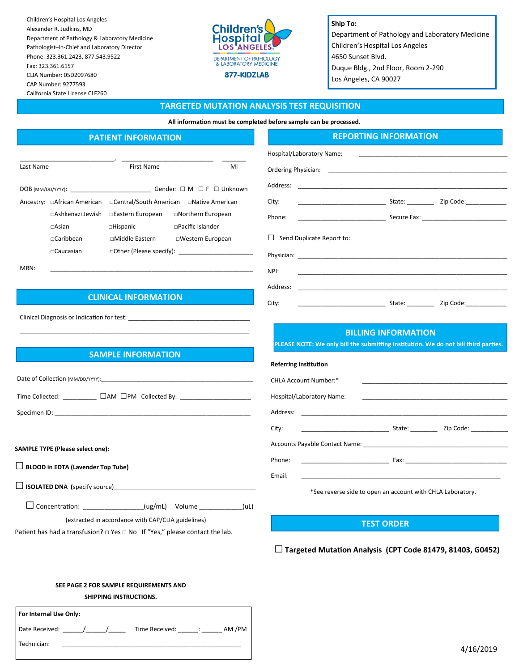Children's Hospital Los Angeles Alexander R. Judkins, MD Department of Pathology & Laboratory Medicine Pathologist–in-Chief and Laboratory Director Phone: 323.361.2423, 877.543.9522 Fax: 323.361.6157 CLIA Number: 05D2097680 CAP Number: 9277593 California State License CLF260



**Ship To:** Department of Pathology and Laboratory Medicine Children's Hospital Los Angeles 4650 Sunset Blvd. Duque Bldg., 2nd Floor, Room 2-290 Los Angeles, CA 90027

#### **TARGETED MUTATION ANALYSIS TEST REQUISITION**

**All information must be completed before sample can be processed.**

Hospital/Laboratory Name: Ordering Physician:

□ Send Duplicate Report to:

Address:

# **PATIENT INFORMATION**

|                         | First Name               | MI                                                                                          |
|-------------------------|--------------------------|---------------------------------------------------------------------------------------------|
|                         |                          | Gender: $\Box$ M $\Box$ F $\Box$ Unknown                                                    |
|                         |                          |                                                                                             |
| $\Box$ Ashkenazi Jewish | □Eastern European        | □Northern European                                                                          |
| $\sqcap$ Asian          | $\Box$ Hispanic          | $\Box$ Pacific Islander                                                                     |
| $\sqcap$ Caribbean      | □Middle Eastern          | □Western European                                                                           |
| $\sqcap$ Caucasian      | □Other (Please specify): |                                                                                             |
|                         |                          | $DOB$ (MM/DD/YYYY):<br>Ancestry: □African American □Central/South American □Native American |

MRN: \_\_\_\_\_\_\_\_\_\_\_\_\_\_\_\_\_\_\_\_\_\_\_\_\_\_\_\_\_\_\_\_\_\_\_\_\_\_\_\_\_\_\_\_\_\_\_\_\_\_\_\_\_\_\_\_\_\_\_\_

# **CLINICAL INFORMATION**

Clinical Diagnosis or Indication for test:

## **SAMPLE INFORMATION**

\_\_\_\_\_\_\_\_\_\_\_\_\_\_\_\_\_\_\_\_\_\_\_\_\_\_\_\_\_\_\_\_\_\_\_\_\_\_\_\_\_\_\_\_\_\_\_\_\_\_\_\_\_\_\_\_\_\_\_\_\_\_\_\_\_\_\_\_

| Time Collected: ___________ [ ]AM [ ]PM Collected By: __________________________ |
|----------------------------------------------------------------------------------|
|                                                                                  |
| <b>SAMPLE TYPE (Please select one):</b>                                          |

**□ BLOOD in EDTA (Lavender Top Tube)** 

**□ISOLATED DNA (**specify source)\_\_\_\_\_\_\_\_\_\_\_\_\_\_\_\_\_\_\_\_\_\_\_\_\_\_\_\_\_\_\_\_\_\_\_\_\_\_\_\_\_\_

 **□**Concentration: \_\_\_\_\_\_\_\_\_\_\_\_\_\_\_\_\_(ug/mL) Volume \_\_\_\_\_\_\_\_\_\_\_\_(uL)

(extracted in accordance with CAP/CLIA guidelines)

Patient has had a transfusion? □ Yes □ No If "Yes," please contact the lab.

# **BILLING INFORMATION**

NPI: \_\_\_\_\_\_\_\_\_\_\_\_\_\_\_\_\_\_\_\_\_\_\_\_\_\_\_\_\_\_\_\_\_\_\_\_\_\_\_\_\_\_\_\_\_\_\_\_\_\_\_\_\_\_\_\_\_\_\_\_\_\_ Address: \_\_\_\_\_\_\_\_\_\_\_\_\_\_\_\_\_\_\_\_\_\_\_\_\_\_\_\_\_\_\_\_\_\_\_\_\_\_\_\_\_\_\_\_\_\_\_\_\_\_\_\_\_\_\_\_\_\_\_\_\_\_ City: \_\_\_\_\_\_\_\_\_\_\_\_\_\_\_\_\_\_\_\_\_\_\_\_\_\_ State: \_\_\_\_\_\_\_\_ Zip Code:\_\_\_\_\_\_\_\_\_\_\_\_

City: \_\_\_\_\_\_\_\_\_\_\_\_\_\_\_\_\_\_\_\_\_\_\_\_\_\_ State: \_\_\_\_\_\_\_\_ Zip Code:\_\_\_\_\_\_\_\_\_\_\_\_

**REPORTING INFORMATION**

Phone: \_\_\_\_\_\_\_\_\_\_\_\_\_\_\_\_\_\_\_\_\_\_\_\_\_\_ Secure Fax: \_\_\_\_\_\_\_\_\_\_\_\_\_\_\_\_\_\_\_\_\_\_\_\_\_

Physician: \_\_\_\_\_\_\_\_\_\_\_\_\_\_\_\_\_\_\_\_\_\_\_\_\_\_\_\_\_\_\_\_\_\_\_\_\_\_\_\_\_\_\_\_\_\_\_\_\_\_\_\_\_\_\_\_\_\_\_\_\_\_

**PLEASE NOTE: We only bill the submitting institution. We do not bill third parties.**

| Referring Institution                                                                    |                                           |
|------------------------------------------------------------------------------------------|-------------------------------------------|
| CHLA Account Number:*                                                                    |                                           |
| Hospital/Laboratory Name:                                                                |                                           |
|                                                                                          |                                           |
| City:<br>the contract of the contract of the contract of the contract of the contract of | State: ____________ Zip Code: ___________ |
|                                                                                          |                                           |
| Phone:<br>the process of the control of the control of the control of the control of     |                                           |
| Email:                                                                                   |                                           |

\*See reverse side to open an account with CHLA Laboratory.

#### **TEST ORDER**

**□Targeted Mutation Analysis (CPT Code 81479, 81403, G0452)**

**SEE PAGE 2 FOR SAMPLE REQUIREMENTS AND SHIPPING INSTRUCTIONS.** 

| For Internal Use Only: |                          |
|------------------------|--------------------------|
| Date Received:         | AM /PM<br>Time Received: |
| Technician:            |                          |